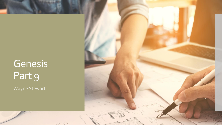# Genesis Part 9

Wayne Stewart

 $\in$ 

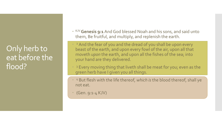### Only herb to eat before the flood?

- KJV **Genesis 9:1**And God blessed Noah and his sons, and said unto them, Be fruitful, and multiply, and replenish the earth.
- ÷, <sup>2</sup> And the fear of you and the dread of you shall be upon every beast of the earth, and upon every fowl of the air, upon all that moveth *upon* the earth, and upon all the fishes of the sea; into your hand are they delivered.
- $\ddot{\phantom{0}}$ <sup>3</sup> Every moving thing that liveth shall be meat for you; even as the green herb have I given you all things.
- ÷, <sup>4</sup> But flesh with the life thereof, *which is* the blood thereof, shall ye not eat.
- (Gen. 9:1-4 KJV)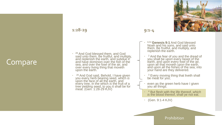

#### **1:28-29**

 <sup>28</sup> And God blessed them, and God said unto them, Be fruitful, and multiply, and replenish the earth, and subdue it. and have dominion over the fish of the sea, and over the fowl of the air, and over every living thing that moveth upon the earth.

 $\ddot{\phantom{0}}$ <sup>29</sup> And God said, Behold, I have given you every herb bearing seed, which *is*  upon the face of all the earth, and every tree, in the which *is* the fruit of a tree yielding seed; to you it shall be for meat. (Gen. 1:28-29 KJV)

**9:1-4**

- $\ddot{\phantom{0}}$ KJV **Genesis 9:1** And God blessed Noah and his sons, and said unto them, Be fruitful, and multiply, and replenish the earth.
- $\ddot{\phantom{0}}$ <sup>2</sup> And the fear of you and the dread of you shall be upon every beast of the earth, and upon every fowl of the air, upon all that moveth *upon* the earth, and upon all the fishes of the sea; into your hand are they delivered.
- $\ddot{\phantom{0}}$ <sup>3</sup> Every moving thing that liveth shall be meat for you;
- even as the green herb have I given you all things.
- $\ddot{\phantom{0}}$ <sup>4</sup> But flesh with the life thereof, *which is* the blood thereof, shall ye not eat.
- (Gen. 9:1-4 KJV)

#### Prohibition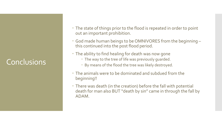## Conclusions

- The state of things prior to the flood is repeated in order to point out an important prohibition.
- God made human beings to be OMNIVORES from the beginning this continued into the post flood period.
- The ability to find healing for death was now gone
	- The way to the tree of life was previously guarded.
	- By means of the flood the tree was likely destroyed.
- The animals were to be dominated and subdued from the beginning!!
- There was death (in the creation) before the fall with potential death for man also BUT "death by sin" came in through the fall by ADAM.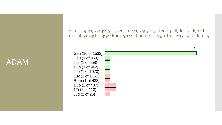ADAM

Gen. 2:19-21, 23; 3:8-9, 17, 20-21; 4:1, 25; 5:1-5; Deut. 32:8; Jos. 3:16; 1 Chr. 1:1; Job 31:33; Lk. 3:38; Rom. 5:14; 1 Cor. 15:22, 45; 1 Tim. 2:13-14; Jude 1:14

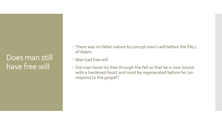### Does man still have free will

- There was no fallen nature to corrupt man's will before the FALL of Adam.
- Man had free will
- Did man loose his free through the fall so that he is now bound with a hardened heart and must be regenerated before he can respond to the gospel?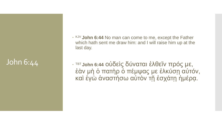## John 6:44

. KJV **John 6:44** No man can come to me, except the Father which hath sent me draw him: and I will raise him up at the last day.

 TBT **John 6:44** οὐδεὶς δύναται ἐλθεῖν πρός με, έὰν μὴ ὁ πατὴρ ὁ πέμψας με ἑλκύση αὐτόν, καὶ ἐγὼ ἀναστήσω αὐτὸν τῆ ἐσχάτη ἡμέρα.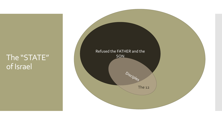### The "STATE" of Israel

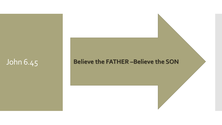John 6.45 **Believe the FATHER –Believe the SON**